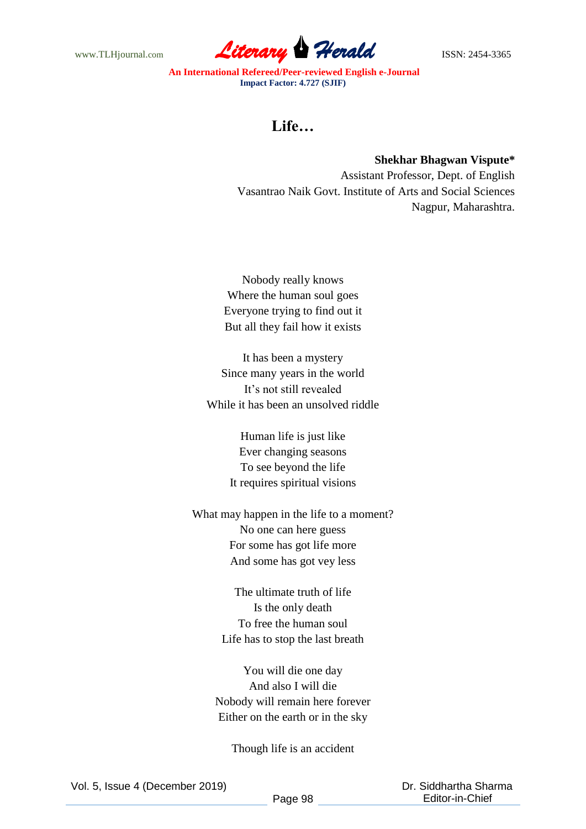www.TLHjournal.com **Literary Herald ISSN: 2454-3365** 

**An International Refereed/Peer-reviewed English e-Journal Impact Factor: 4.727 (SJIF)**

## **Life…**

**Shekhar Bhagwan Vispute\*** Assistant Professor, Dept. of English Vasantrao Naik Govt. Institute of Arts and Social Sciences Nagpur, Maharashtra.

Nobody really knows Where the human soul goes Everyone trying to find out it But all they fail how it exists

It has been a mystery Since many years in the world It's not still revealed While it has been an unsolved riddle

> Human life is just like Ever changing seasons To see beyond the life It requires spiritual visions

What may happen in the life to a moment? No one can here guess For some has got life more And some has got vey less

> The ultimate truth of life Is the only death To free the human soul Life has to stop the last breath

You will die one day And also I will die Nobody will remain here forever Either on the earth or in the sky

Though life is an accident

 Dr. Siddhartha Sharma Editor-in-Chief